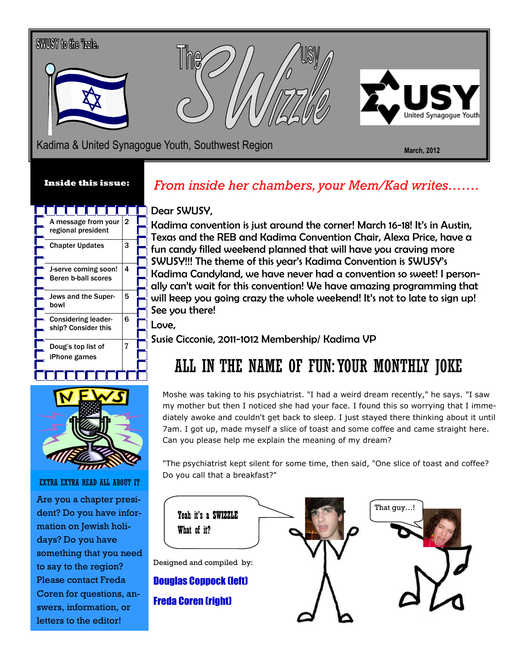# SWUSY to the Tzzle. Kadima & United Synagogue Youth, Southwest Region Network Controller National March, 2012

#### Inside this issue:

|  | A message from your<br>regional president          | 2 |  |
|--|----------------------------------------------------|---|--|
|  |                                                    |   |  |
|  | <b>Chapter Updates</b>                             | 3 |  |
|  |                                                    |   |  |
|  |                                                    |   |  |
|  | J-serve coming soon!<br><b>Beren b-ball scores</b> | 4 |  |
|  |                                                    |   |  |
|  | Jews and the Super-<br>bowl                        | 5 |  |
|  |                                                    |   |  |
|  | <b>Considering leader-</b><br>ship? Consider this  | 6 |  |
|  |                                                    |   |  |
|  |                                                    |   |  |
|  | Doug's top list of<br>iPhone games                 | 7 |  |
|  |                                                    |   |  |
|  |                                                    |   |  |
|  |                                                    |   |  |



### EXTRA EXTRA READ ALL ABOUT IT

Are you a chapter president? Do you have information on Jewish holidays? Do you have something that you need to say to the region? Please contact Freda Coren for questions, answers, information, or letters to the editor!

### From inside her chambers, your Mem/Kad writes…….

### Dear SWUSY,

Kadima convention is just around the corner! March 16-18! It's in Austin, Texas and the REB and Kadima Convention Chair, Alexa Price, have a fun candy filled weekend planned that will have you craving more SWUSY!!! The theme of this year's Kadima Convention is SWUSY's Kadima Candyland, we have never had a convention so sweet! I personally can't wait for this convention! We have amazing programming that will keep you going crazy the whole weekend! It's not to late to sign up! See you there!

Love,

Susie Cicconie, 2011-1012 Membership/ Kadima VP

### ALL IN THE NAME OF FUN: YOUR MONTHLY JOKE

Moshe was taking to his psychiatrist. "I had a weird dream recently," he says. "I saw my mother but then I noticed she had your face. I found this so worrying that I immediately awoke and couldn't get back to sleep. I just stayed there thinking about it until 7am. I got up, made myself a slice of toast and some coffee and came straight here. Can you please help me explain the meaning of my dream?

"The psychiatrist kept silent for some time, then said, "One slice of toast and coffee? Do you call that a breakfast?"

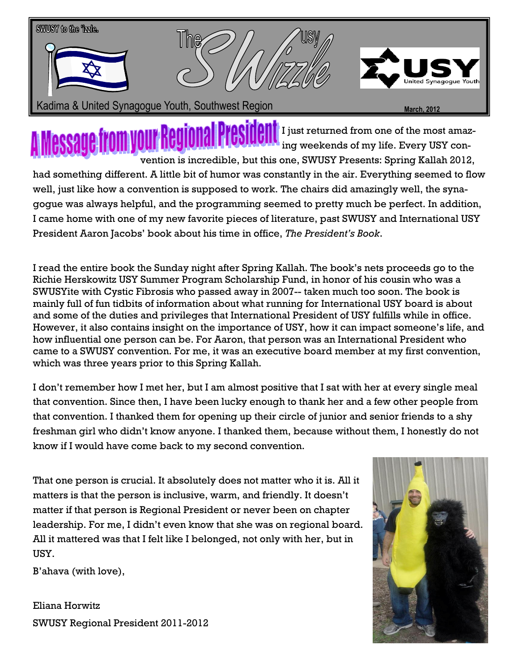

I just returned from one of the most amazing weekends of my life. Every USY convention is incredible, but this one, SWUSY Presents: Spring Kallah 2012, had something different. A little bit of humor was constantly in the air. Everything seemed to flow well, just like how a convention is supposed to work. The chairs did amazingly well, the synagogue was always helpful, and the programming seemed to pretty much be perfect. In addition, I came home with one of my new favorite pieces of literature, past SWUSY and International USY President Aaron Jacobs' book about his time in office, The President's Book.

I read the entire book the Sunday night after Spring Kallah. The book's nets proceeds go to the Richie Herskowitz USY Summer Program Scholarship Fund, in honor of his cousin who was a SWUSYite with Cystic Fibrosis who passed away in 2007-- taken much too soon. The book is mainly full of fun tidbits of information about what running for International USY board is about and some of the duties and privileges that International President of USY fulfills while in office. However, it also contains insight on the importance of USY, how it can impact someone's life, and how influential one person can be. For Aaron, that person was an International President who came to a SWUSY convention. For me, it was an executive board member at my first convention, which was three years prior to this Spring Kallah.

I don't remember how I met her, but I am almost positive that I sat with her at every single meal that convention. Since then, I have been lucky enough to thank her and a few other people from that convention. I thanked them for opening up their circle of junior and senior friends to a shy freshman girl who didn't know anyone. I thanked them, because without them, I honestly do not know if I would have come back to my second convention.

That one person is crucial. It absolutely does not matter who it is. All it matters is that the person is inclusive, warm, and friendly. It doesn't matter if that person is Regional President or never been on chapter leadership. For me, I didn't even know that she was on regional board. All it mattered was that I felt like I belonged, not only with her, but in USY.

B'ahava (with love),

Eliana Horwitz SWUSY Regional President 2011-2012

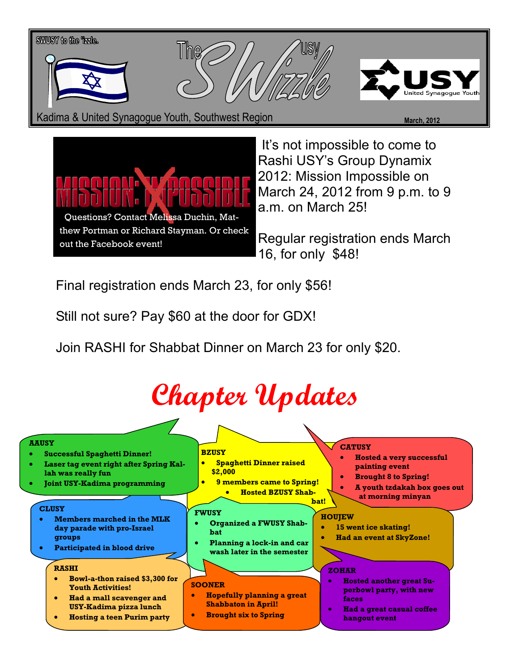

Kadima & United Synagogue Youth, Southwest Region March, 2012 March, 2012





 It's not impossible to come to Rashi USY's Group Dynamix 2012: Mission Impossible on March 24, 2012 from 9 p.m. to 9 a.m. on March 25!

Regular registration ends March 16, for only \$48!

Final registration ends March 23, for only \$56!

Still not sure? Pay \$60 at the door for GDX!

Join RASHI for Shabbat Dinner on March 23 for only \$20.

### Chapter Updates

#### **BZUSY** • Spaghetti Dinner raised \$2,000 **9 members came to Spring!** • Hosted BZUSY Shabbat! **CATUSY** • Hosted a very successful painting event • Brought 8 to Spring! • A youth tzdakah box goes out at morning minyan **CLUSY** • Members marched in the MLK day parade with pro-Israel groups Participated in blood drive FWUSY • Organized a FWUSY Shabbat • Planning a lock-in and car wash later in the semester **HOUJEW** • 15 went ice skating! • Had an event at SkyZone! RASHI • Bowl-a-thon raised \$3,300 for Youth Activities! • Had a mall scavenger and USY-Kadima pizza lunch • Hosting a teen Purim party SOONER • Hopefully planning a great Shabbaton in April! • Brought six to Spring **ZOHAR** • Hosted another great Superbowl party, with new faces • Had a great casual coffee hangout event AAUSY • Successful Spaghetti Dinner! • Laser tag event right after Spring Kallah was really fun • Joint USY-Kadima programming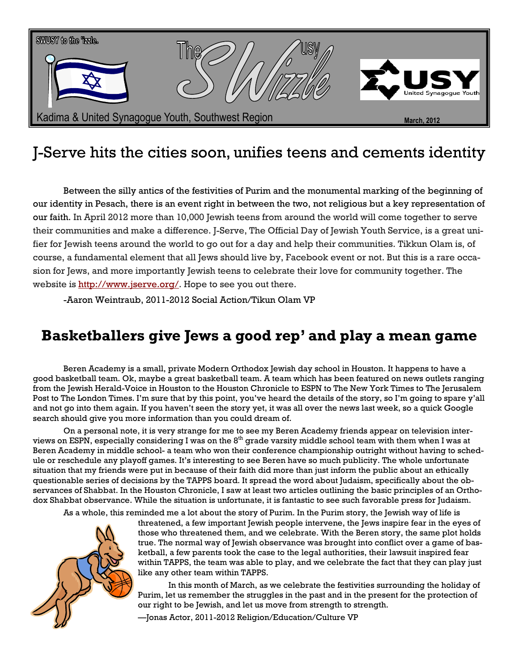

### J-Serve hits the cities soon, unifies teens and cements identity

Between the silly antics of the festivities of Purim and the monumental marking of the beginning of our identity in Pesach, there is an event right in between the two, not religious but a key representation of our faith. In April 2012 more than 10,000 Jewish teens from around the world will come together to serve their communities and make a difference. J-Serve, The Official Day of Jewish Youth Service, is a great unifier for Jewish teens around the world to go out for a day and help their communities. Tikkun Olam is, of course, a fundamental element that all Jews should live by, Facebook event or not. But this is a rare occasion for Jews, and more importantly Jewish teens to celebrate their love for community together. The website is http://www.jserve.org/. Hope to see you out there.

-Aaron Weintraub, 2011-2012 Social Action/Tikun Olam VP

### Basketballers give Jews a good rep' and play a mean game

Beren Academy is a small, private Modern Orthodox Jewish day school in Houston. It happens to have a good basketball team. Ok, maybe a great basketball team. A team which has been featured on news outlets ranging from the Jewish Herald-Voice in Houston to the Houston Chronicle to ESPN to The New York Times to The Jerusalem Post to The London Times. I'm sure that by this point, you've heard the details of the story, so I'm going to spare y'all and not go into them again. If you haven't seen the story yet, it was all over the news last week, so a quick Google search should give you more information than you could dream of.

 On a personal note, it is very strange for me to see my Beren Academy friends appear on television interviews on ESPN, especially considering I was on the 8<sup>th</sup> grade varsity middle school team with them when I was at Beren Academy in middle school- a team who won their conference championship outright without having to schedule or reschedule any playoff games. It's interesting to see Beren have so much publicity. The whole unfortunate situation that my friends were put in because of their faith did more than just inform the public about an ethically questionable series of decisions by the TAPPS board. It spread the word about Judaism, specifically about the observances of Shabbat. In the Houston Chronicle, I saw at least two articles outlining the basic principles of an Orthodox Shabbat observance. While the situation is unfortunate, it is fantastic to see such favorable press for Judaism.

As a whole, this reminded me a lot about the story of Purim. In the Purim story, the Jewish way of life is



threatened, a few important Jewish people intervene, the Jews inspire fear in the eyes of those who threatened them, and we celebrate. With the Beren story, the same plot holds true. The normal way of Jewish observance was brought into conflict over a game of basketball, a few parents took the case to the legal authorities, their lawsuit inspired fear within TAPPS, the team was able to play, and we celebrate the fact that they can play just like any other team within TAPPS.

 In this month of March, as we celebrate the festivities surrounding the holiday of Purim, let us remember the struggles in the past and in the present for the protection of our right to be Jewish, and let us move from strength to strength.

—Jonas Actor, 2011-2012 Religion/Education/Culture VP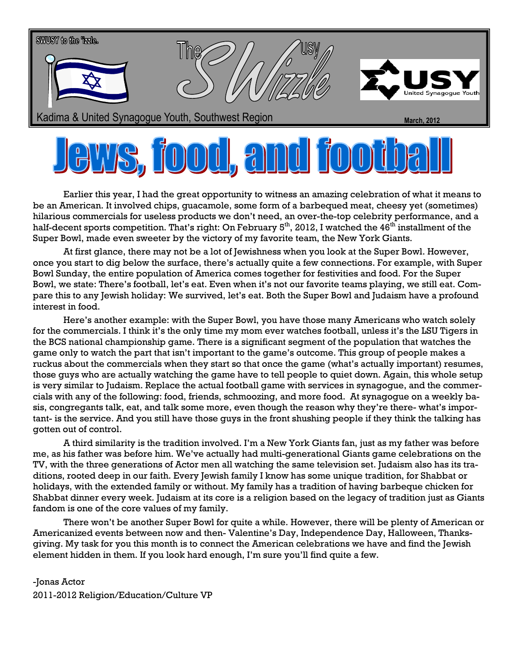

### **S. 1000, and**  $\prod$

Earlier this year, I had the great opportunity to witness an amazing celebration of what it means to be an American. It involved chips, guacamole, some form of a barbequed meat, cheesy yet (sometimes) hilarious commercials for useless products we don't need, an over-the-top celebrity performance, and a half-decent sports competition. That's right: On February  $5<sup>th</sup>$ , 2012, I watched the 46<sup>th</sup> installment of the Super Bowl, made even sweeter by the victory of my favorite team, the New York Giants.

 At first glance, there may not be a lot of Jewishness when you look at the Super Bowl. However, once you start to dig below the surface, there's actually quite a few connections. For example, with Super Bowl Sunday, the entire population of America comes together for festivities and food. For the Super Bowl, we state: There's football, let's eat. Even when it's not our favorite teams playing, we still eat. Compare this to any Jewish holiday: We survived, let's eat. Both the Super Bowl and Judaism have a profound interest in food.

 Here's another example: with the Super Bowl, you have those many Americans who watch solely for the commercials. I think it's the only time my mom ever watches football, unless it's the LSU Tigers in the BCS national championship game. There is a significant segment of the population that watches the game only to watch the part that isn't important to the game's outcome. This group of people makes a ruckus about the commercials when they start so that once the game (what's actually important) resumes, those guys who are actually watching the game have to tell people to quiet down. Again, this whole setup is very similar to Judaism. Replace the actual football game with services in synagogue, and the commercials with any of the following: food, friends, schmoozing, and more food. At synagogue on a weekly basis, congregants talk, eat, and talk some more, even though the reason why they're there- what's important- is the service. And you still have those guys in the front shushing people if they think the talking has gotten out of control.

 A third similarity is the tradition involved. I'm a New York Giants fan, just as my father was before me, as his father was before him. We've actually had multi-generational Giants game celebrations on the TV, with the three generations of Actor men all watching the same television set. Judaism also has its traditions, rooted deep in our faith. Every Jewish family I know has some unique tradition, for Shabbat or holidays, with the extended family or without. My family has a tradition of having barbeque chicken for Shabbat dinner every week. Judaism at its core is a religion based on the legacy of tradition just as Giants fandom is one of the core values of my family.

 There won't be another Super Bowl for quite a while. However, there will be plenty of American or Americanized events between now and then- Valentine's Day, Independence Day, Halloween, Thanksgiving. My task for you this month is to connect the American celebrations we have and find the Jewish element hidden in them. If you look hard enough, I'm sure you'll find quite a few.

-Jonas Actor 2011-2012 Religion/Education/Culture VP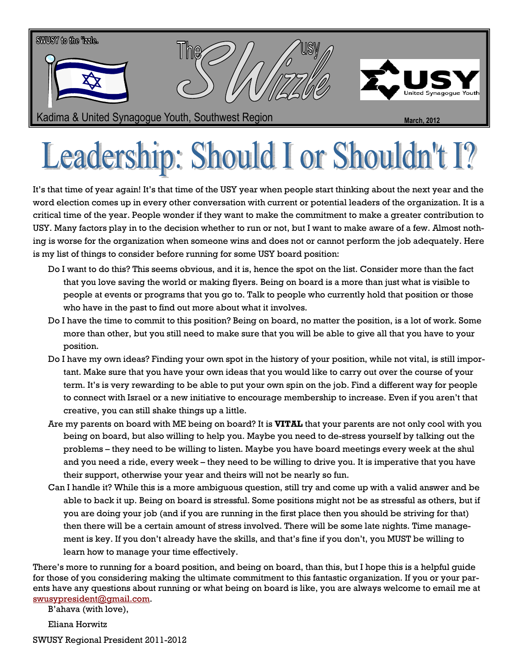

## Leadership: Should I or Shouldn't

It's that time of year again! It's that time of the USY year when people start thinking about the next year and the word election comes up in every other conversation with current or potential leaders of the organization. It is a critical time of the year. People wonder if they want to make the commitment to make a greater contribution to USY. Many factors play in to the decision whether to run or not, but I want to make aware of a few. Almost nothing is worse for the organization when someone wins and does not or cannot perform the job adequately. Here is my list of things to consider before running for some USY board position:

- Do I want to do this? This seems obvious, and it is, hence the spot on the list. Consider more than the fact that you love saving the world or making flyers. Being on board is a more than just what is visible to people at events or programs that you go to. Talk to people who currently hold that position or those who have in the past to find out more about what it involves.
- Do I have the time to commit to this position? Being on board, no matter the position, is a lot of work. Some more than other, but you still need to make sure that you will be able to give all that you have to your position.
- Do I have my own ideas? Finding your own spot in the history of your position, while not vital, is still important. Make sure that you have your own ideas that you would like to carry out over the course of your term. It's is very rewarding to be able to put your own spin on the job. Find a different way for people to connect with Israel or a new initiative to encourage membership to increase. Even if you aren't that creative, you can still shake things up a little.
- Are my parents on board with ME being on board? It is VITAL that your parents are not only cool with you being on board, but also willing to help you. Maybe you need to de-stress yourself by talking out the problems – they need to be willing to listen. Maybe you have board meetings every week at the shul and you need a ride, every week – they need to be willing to drive you. It is imperative that you have their support, otherwise your year and theirs will not be nearly so fun.
- Can I handle it? While this is a more ambiguous question, still try and come up with a valid answer and be able to back it up. Being on board is stressful. Some positions might not be as stressful as others, but if you are doing your job (and if you are running in the first place then you should be striving for that) then there will be a certain amount of stress involved. There will be some late nights. Time management is key. If you don't already have the skills, and that's fine if you don't, you MUST be willing to learn how to manage your time effectively.

There's more to running for a board position, and being on board, than this, but I hope this is a helpful guide for those of you considering making the ultimate commitment to this fantastic organization. If you or your parents have any questions about running or what being on board is like, you are always welcome to email me at swusypresident@gmail.com.

B'ahava (with love),

Eliana Horwitz

SWUSY Regional President 2011-2012